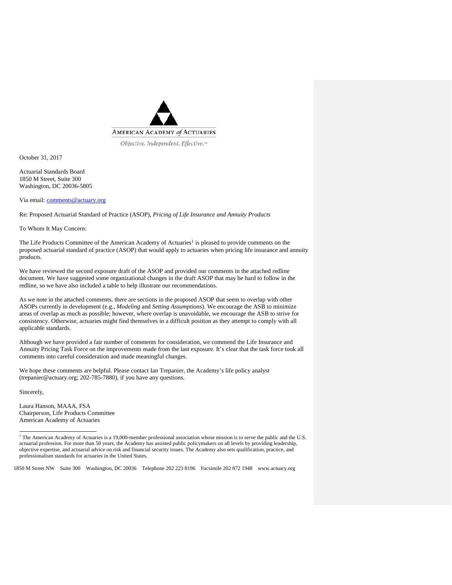

Objective. Independent. Effective.™

October 31, 2017

Actuarial Standards Board 1850 M Street, Suite 300 Washington, DC 20036-5805

Via email: [comments@actuary.org](mailto:comments@actuary.org)

Re: Proposed Actuarial Standard of Practice (ASOP), *Pricing of Life Insurance and Annuity Products*

To Whom It May Concern:

The Life Products Committee of the American Academy of Actuaries<sup>[1](#page-0-0)</sup> is pleased to provide comments on the proposed actuarial standard of practice (ASOP) that would apply to actuaries when pricing life insurance and annuity products.

We have reviewed the second exposure draft of the ASOP and provided our comments in the attached redline document. We have suggested some organizational changes in the draft ASOP that may be hard to follow in the redline, so we have also included a table to help illustrate our recommendations.

As we note in the attached comments, there are sections in the proposed ASOP that seem to overlap with other ASOPs currently in development (e.g., *Modeling* and *Setting Assumptions*). We encourage the ASB to minimize areas of overlap as much as possible; however, where overlap is unavoidable, we encourage the ASB to strive for consistency. Otherwise, actuaries might find themselves in a difficult position as they attempt to comply with all applicable standards.

Although we have provided a fair number of comments for consideration, we commend the Life Insurance and Annuity Pricing Task Force on the improvements made from the last exposure. It's clear that the task force took all comments into careful consideration and made meaningful changes.

We hope these comments are helpful. Please contact Ian Trepanier, the Academy's life policy analyst (trepanier@actuary.org; 202-785-7880), if you have any questions.

Sincerely,

j

Laura Hanson, MAAA, FSA Chairperson, Life Products Committee American Academy of Actuaries

<span id="page-0-0"></span>1850 M Street NW Suite 300 Washington, DC 20036 Telephone 202 223 8196 Facsimile 202 872 1948 www.actuary.org

<sup>&</sup>lt;sup>1</sup> The American Academy of Actuaries is a 19,000-member professional association whose mission is to serve the public and the U.S. actuarial profession. For more than 50 years, the Academy has assisted public policymakers on all levels by providing leadership, objective expertise, and actuarial advice on risk and financial security issues. The Academy also sets qualification, practice, and professionalism standards for actuaries in the United States.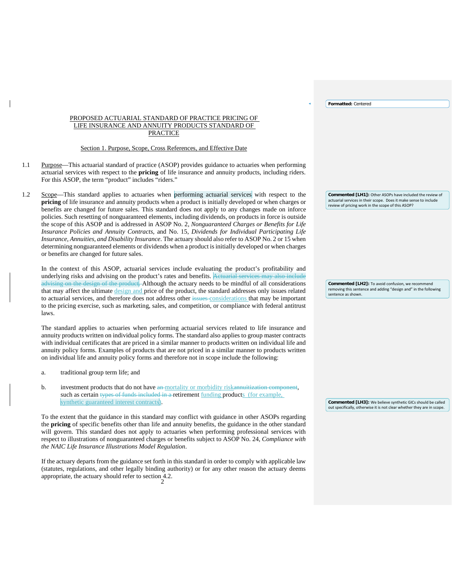**Formatted:** Centered

#### PROPOSED ACTUARIAL STANDARD OF PRACTICE PRICING OF LIFE INSURANCE AND ANNUITY PRODUCTS STANDARD OF PRACTICE

#### Section 1. Purpose, Scope, Cross References, and Effective Date

- 1.1 Purpose—This actuarial standard of practice (ASOP) provides guidance to actuaries when performing actuarial services with respect to the **pricing** of life insurance and annuity products, including riders. For this ASOP, the term "product" includes "riders."
- 1.2 Scope—This standard applies to actuaries when performing actuarial services with respect to the **pricing** of life insurance and annuity products when a product is initially developed or when charges or benefits are changed for future sales. This standard does not apply to any changes made on inforce policies. Such resetting of nonguaranteed elements, including dividends, on products in force is outside the scope of this ASOP and is addressed in ASOP No. 2, *Nonguaranteed Charges or Benefits for Life Insurance Policies and Annuity Contracts*, and No. 15, *Dividends for Individual Participating Life Insurance, Annuities, and Disability Insurance*. The actuary should also refer to ASOP No. 2 or 15 when determining nonguaranteed elements or dividends when a product is initially developed or when charges or benefits are changed for future sales.

In the context of this ASOP, actuarial services include evaluating the product's profitability and underlying risks and advising on the product's rates and benefits.  $A_0$ advising on the design of the product. Although the actuary needs to be mindful of all considerations that may affect the ultimate design and price of the product, the standard addresses only issues related to actuarial services, and therefore does not address other issues considerations that may be important to the pricing exercise, such as marketing, sales, and competition, or compliance with federal antitrust laws.

The standard applies to actuaries when performing actuarial services related to life insurance and annuity products written on individual policy forms. The standard also applies to group master contracts with individual certificates that are priced in a similar manner to products written on individual life and annuity policy forms. Examples of products that are not priced in a similar manner to products written on individual life and annuity policy forms and therefore not in scope include the following:

- a. traditional group term life; and
- b. investment products that do not have an mortality or morbidity riskannuitization component, such as certain types of funds included in a retirement funding products (for example, synthetic guaranteed interest contracts).

To the extent that the guidance in this standard may conflict with guidance in other ASOPs regarding the **pricing** of specific benefits other than life and annuity benefits, the guidance in the other standard will govern. This standard does not apply to actuaries when performing professional services with respect to illustrations of nonguaranteed charges or benefits subject to ASOP No. 24, *Compliance with the NAIC Life Insurance Illustrations Model Regulation*.

2 appropriate, the actuary should refer to section 4.2. If the actuary departs from the guidance set forth in this standard in order to comply with applicable law (statutes, regulations, and other legally binding authority) or for any other reason the actuary deems **Commented [LH1]:** Other ASOPs have included the review of actuarial services in their scope. Does it make sense to include review of pricing work in the scope of this ASOP?

**Commented [LH2]:** To avoid confusion, we recommend removing this sentence and adding "design and" in the following sentence as shown.

**Commented [LH3]:** We believe synthetic GICs should be called out specifically, otherwise it is not clear whether they are in scope.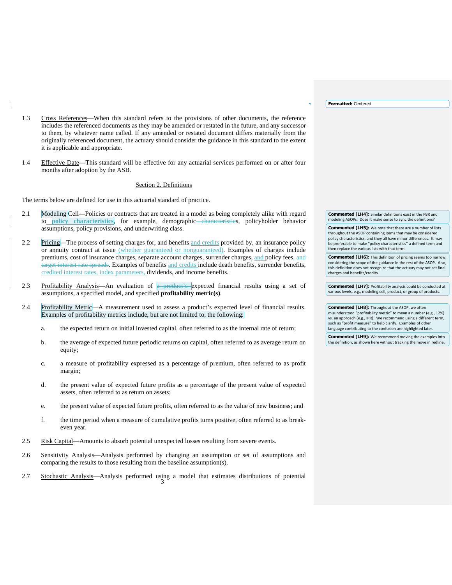**Formatted:** Centered

- 1.3 Cross References—When this standard refers to the provisions of other documents, the reference includes the referenced documents as they may be amended or restated in the future, and any successor to them, by whatever name called. If any amended or restated document differs materially from the originally referenced document, the actuary should consider the guidance in this standard to the extent it is applicable and appropriate.
- 1.4 Effective Date—This standard will be effective for any actuarial services performed on or after four months after adoption by the ASB.

#### Section 2. Definitions

The terms below are defined for use in this actuarial standard of practice.

- 2.1 Modeling Cell—Policies or contracts that are treated in a model as being completely alike with regard to **policy characteristics**, for example, demographic characteristics, policyholder behavior assumptions, policy provisions, and underwriting class.
- 2.2 Pricing—The process of setting charges for, and benefits and credits provided by, an insurance policy or annuity contract at issue (whether guaranteed or nonguaranteed). Examples of charges include premiums, cost of insurance charges, separate account charges, surrender charges, and policy fees, and target interest rate spreads. Examples of benefits and credits include death benefits, surrender benefits, credited interest rates, index parameters, dividends, and income benefits.
- 2.3 Profitability Analysis—An evaluation of a product's expected financial results using a set of assumptions, a specified model, and specified **profitability metric(s)**.
- 2.4 Profitability Metric—A measurement used to assess a product's expected level of financial results. Examples of profitability metrics include, but are not limited to, the following:
	- a. the expected return on initial invested capital, often referred to as the internal rate of return;
	- b. the average of expected future periodic returns on capital, often referred to as average return on equity;
	- c. a measure of profitability expressed as a percentage of premium, often referred to as profit margin;
	- d. the present value of expected future profits as a percentage of the present value of expected assets, often referred to as return on assets;
	- e. the present value of expected future profits, often referred to as the value of new business; and
	- f. the time period when a measure of cumulative profits turns positive, often referred to as breakeven year.
- 2.5 Risk Capital—Amounts to absorb potential unexpected losses resulting from severe events.
- 2.6 Sensitivity Analysis—Analysis performed by changing an assumption or set of assumptions and comparing the results to those resulting from the baseline assumption(s).
- 3 2.7 Stochastic Analysis—Analysis performed using a model that estimates distributions of potential

**Commented [LH4]:** Similar definitions exist in the PBR and modeling ASOPs. Does it make sense to sync the definitions? **Commented [LH5]:** We note that there are a number of lists

throughout the ASOP containing items that may be considered policy characteristics, and they all have minor differences. It may be preferable to make "policy characteristics" a defined term and then replace the various lists with that term.

**Commented [LH6]:** This definition of pricing seems too narrow, considering the scope of the guidance in the rest of the ASOP. Also, this definition does not recognize that the actuary may not set final charges and benefits/credits.

**Commented [LH7]:** Profitability analysis could be conducted at various levels, e.g., modeling cell, product, or group of products.

**Commented [LH8]:** Throughout the ASOP, we often misunderstood "profitability metric" to mean a number (e.g., 12%) vs. an approach (e.g., IRR). We recommend using a different term, such as "profit measure" to help clarify. Examples of other language contributing to the confusion are highlighted later.

**Commented [LH9]:** We recommend moving the examples into the definition, as shown here without tracking the move in redline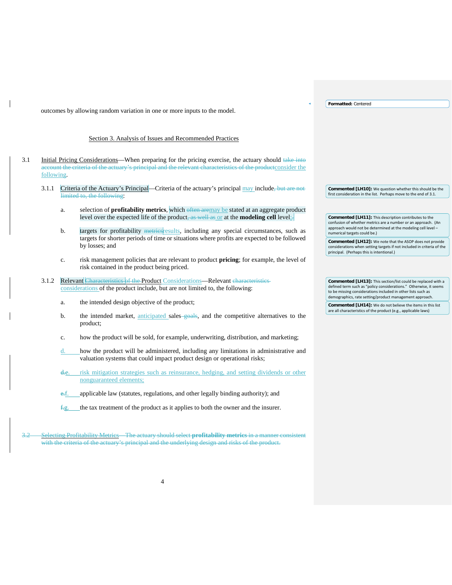**Formatted:** Centered

outcomes by allowing random variation in one or more inputs to the model.

# Section 3. Analysis of Issues and Recommended Practices

- 3.1 Initial Pricing Considerations—When preparing for the pricing exercise, the actuary should take into account the criteria of the actuary's principal and the relevant characteristics of the productconsider the following.
	- 3.1.1 Criteria of the Actuary's Principal—Criteria of the actuary's principal may include, but are not limited to, the following:
		- a. selection of **profitability metrics**, which often aremay be stated at an aggregate product level over the expected life of the product, as well as or at the **modeling cell** level;.
		- b. targets for profitability metries results, including any special circumstances, such as targets for shorter periods of time or situations where profits are expected to be followed by losses; and
		- c. risk management policies that are relevant to product **pricing**; for example, the level of risk contained in the product being priced.
	- 3.1.2 Relevant Characteristics of the Product Considerations—Relevant characteristics considerations of the product include, but are not limited to, the following:
		- a. the intended design objective of the product;
		- b. the intended market, anticipated sales-goals, and the competitive alternatives to the product;
		- c. how the product will be sold, for example, underwriting, distribution, and marketing;
		- d. how the product will be administered, including any limitations in administrative and valuation systems that could impact product design or operational risks;
		- d.e. risk mitigation strategies such as reinsurance, hedging, and setting dividends or other nonguaranteed elements;
		- e.f. applicable law (statutes, regulations, and other legally binding authority); and
		- $f.g.$  the tax treatment of the product as it applies to both the owner and the insurer.

3.2 Selecting Profitability Metrics—The actuary should select **profitability metrics** in a manner consistent with the criteria of the actuary's principal and the underlying design and risks of the product.

**Commented [LH10]:** We question whether this should be the first consideration in the list. Perhaps move to the end of 3.1.

**Commented [LH11]:** This description contributes to the confusion of whether metrics are a number or an approach. (An approach would not be determined at the modeling cell level numerical targets could be.)

**Commented [LH12]:** We note that the ASOP does not provide considerations when setting targets if not included in criteria of the principal. (Perhaps this is intentional.)

**Commented [LH13]:** This section/list could be replaced with a defined term such as "policy considerations." Otherwise, it seems to be missing considerations included in other lists such as demographics, rate setting/product management approach.

**Commented [LH14]:** We do not believe the items in this list are all characteristics of the product (e.g., applicable laws)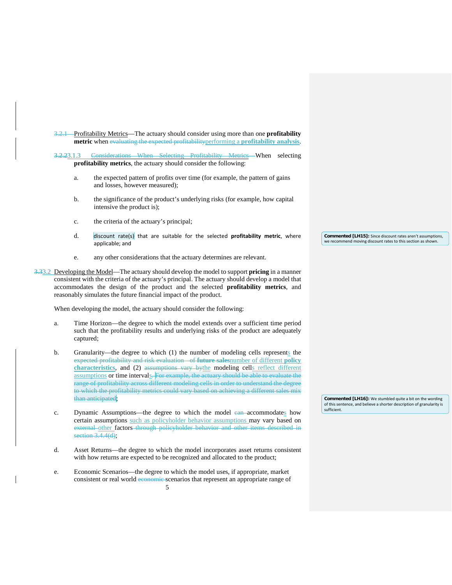3.2.1 Profitability Metrics—The actuary should consider using more than one **profitability metric** when evaluating the expected profitabilityperforming a **profitability analysis**.

3.2.23.1.3 Considerations When Selecting Profitability Metrics—When selecting **profitability metrics**, the actuary should consider the following:

- a. the expected pattern of profits over time (for example, the pattern of gains and losses, however measured);
- b. the significance of the product's underlying risks (for example, how capital intensive the product is);
- c. the criteria of the actuary's principal;
- d. discount rate(s) that are suitable for the selected **profitability metric**, where applicable; and
- e. any other considerations that the actuary determines are relevant.

3.33.2 Developing the Model—The actuary should develop the model to support **pricing** in a manner consistent with the criteria of the actuary's principal. The actuary should develop a model that accommodates the design of the product and the selected **profitability metrics**, and reasonably simulates the future financial impact of the product.

When developing the model, the actuary should consider the following:

- a. Time Horizon—the degree to which the model extends over a sufficient time period such that the profitability results and underlying risks of the product are adequately captured;
- b. Granularity—the degree to which (1) the number of modeling cells represents the expected profitability and risk evaluation of **future sales**number of different **policy characteristics**, and (2) assumptions vary bythe modeling cells reflect different assumptions or time intervals. For example, the actuary should be able to evaluate the range of profitability across different modeling cells in order to understand the degree to which the profitability metrics could vary based on achieving a different sales mix than anticipated;
- c. Dynamic Assumptions—the degree to which the model ean-accommodates how certain assumptions such as policyholder behavior assumptions may vary based on external other factors through policyholder behavior and other items described in section  $3.\overline{4.4(d)}$ ;
- d. Asset Returns—the degree to which the model incorporates asset returns consistent with how returns are expected to be recognized and allocated to the product;
- e. Economic Scenarios—the degree to which the model uses, if appropriate, market consistent or real world economic scenarios that represent an appropriate range of

**Commented [LH15]:** Since discount rates aren't assumptions, we recommend moving discount rates to this section as shown.

**Commented [LH16]:** We stumbled quite a bit on the wording of this sentence, and believe a shorter description of granularity is sufficient.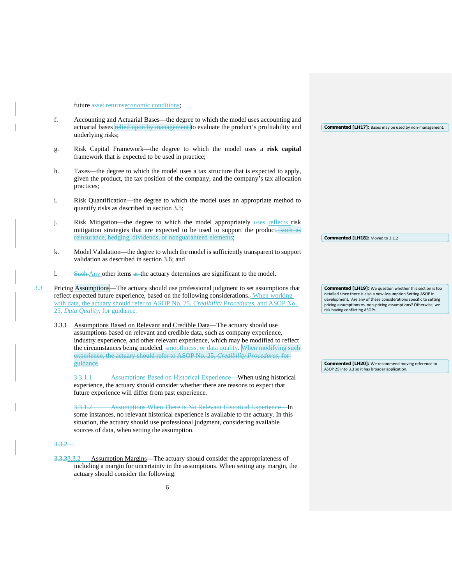## future asset returnseconomic conditions;

|     | f.             | Accounting and Actuarial Bases—the degree to which the model uses accounting and<br>actuarial bases relied upon by management to evaluate the product's profitability and<br>underlying risks;                                                                                                                                                                                                                          |  | Commented [LH17]: Bases may be used by non-management.                                                                                                                                                                                                                                             |
|-----|----------------|-------------------------------------------------------------------------------------------------------------------------------------------------------------------------------------------------------------------------------------------------------------------------------------------------------------------------------------------------------------------------------------------------------------------------|--|----------------------------------------------------------------------------------------------------------------------------------------------------------------------------------------------------------------------------------------------------------------------------------------------------|
|     | g.             | Risk Capital Framework—the degree to which the model uses a risk capital<br>framework that is expected to be used in practice;                                                                                                                                                                                                                                                                                          |  |                                                                                                                                                                                                                                                                                                    |
|     | h.             | Taxes—the degree to which the model uses a tax structure that is expected to apply,<br>given the product, the tax position of the company, and the company's tax allocation<br>practices;                                                                                                                                                                                                                               |  |                                                                                                                                                                                                                                                                                                    |
|     | $\mathbf{i}$ . | Risk Quantification—the degree to which the model uses an appropriate method to<br>quantify risks as described in section 3.5;                                                                                                                                                                                                                                                                                          |  |                                                                                                                                                                                                                                                                                                    |
|     | j.             | Risk Mitigation—the degree to which the model appropriately uses-reflects risk<br>mitigation strategies that are expected to be used to support the product, such as<br>reinsurance, hedging, dividends, or nonguaranteed elements;                                                                                                                                                                                     |  | Commented [LH18]: Moved to 3.1.2                                                                                                                                                                                                                                                                   |
|     | k.             | Model Validation—the degree to which the model is sufficiently transparent to support<br>validation as described in section 3.6; and                                                                                                                                                                                                                                                                                    |  |                                                                                                                                                                                                                                                                                                    |
|     | 1.             | Such Any other items as the actuary determines are significant to the model.                                                                                                                                                                                                                                                                                                                                            |  |                                                                                                                                                                                                                                                                                                    |
| 3.3 |                | Pricing Assumptions—The actuary should use professional judgment to set assumptions that<br>reflect expected future experience, based on the following considerations.- When working<br>with data, the actuary should refer to ASOP No. 25, <i>Credibility Procedures</i> , and ASOP No.<br>23, Data Quality, for guidance.                                                                                             |  | Commented [LH19]: We question whether this section is too<br>detailed since there is also a new Assumption Setting ASOP in<br>development. Are any of these considerations specific to setting<br>pricing assumptions vs. non-pricing assumptions? Otherwise, we<br>risk having conflicting ASOPs. |
|     | 3.3.1          | Assumptions Based on Relevant and Credible Data-The actuary should use<br>assumptions based on relevant and credible data, such as company experience,<br>industry experience, and other relevant experience, which may be modified to reflect<br>the circumstances being modeled, smoothness, or data quality. When modifying such<br>experience, the actuary should refer to ASOP No. 25, Credibility Procedures, for |  |                                                                                                                                                                                                                                                                                                    |
|     |                | guidance.                                                                                                                                                                                                                                                                                                                                                                                                               |  | Commented [LH20]: We recommend moving reference to<br>ASOP 25 into 3.3 so it has broader application.                                                                                                                                                                                              |
|     |                | <b>Assumptions Based on Historical Experience</b> When using historical<br>3.3.1.1<br>experience, the actuary should consider whether there are reasons to expect that<br>future experience will differ from past experience.                                                                                                                                                                                           |  |                                                                                                                                                                                                                                                                                                    |

3.3.1.2 Assumptions When There Is No Relevant Historical Experience—In some instances, no relevant historical experience is available to the actuary. In this situation, the actuary should use professional judgment, considering available sources of data, when setting the assumption.

### 3.3.2

3.3.33.3.2 Assumption Margins—The actuary should consider the appropriateness of including a margin for uncertainty in the assumptions. When setting any margin, the actuary should consider the following: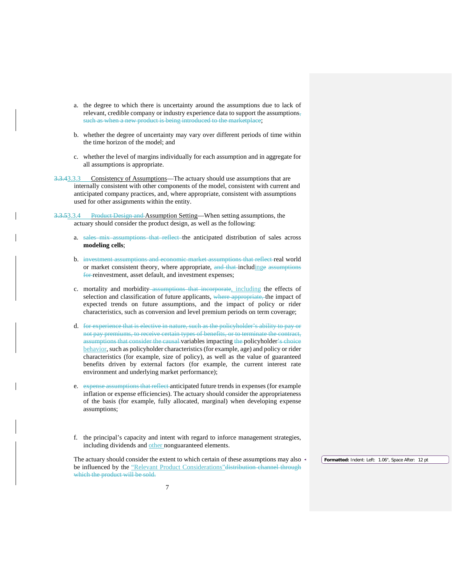- a. the degree to which there is uncertainty around the assumptions due to lack of relevant, credible company or industry experience data to support the assumptions, such as when a new product is being introduced to the marketplace;
- b. whether the degree of uncertainty may vary over different periods of time within the time horizon of the model; and
- c. whether the level of margins individually for each assumption and in aggregate for all assumptions is appropriate.
- 3.3.43.3.3 Consistency of Assumptions—The actuary should use assumptions that are internally consistent with other components of the model, consistent with current and anticipated company practices, and, where appropriate, consistent with assumptions used for other assignments within the entity.
- 3.3.53.3.4 Product Design and Assumption Setting—When setting assumptions, the actuary should consider the product design, as well as the following:
	- a. sales mix assumptions that reflect the anticipated distribution of sales across **modeling cells**;
	- b. investment assumptions and economic market assumptions that reflect real world or market consistent theory, where appropriate, and that includinge assumptions for reinvestment, asset default, and investment expenses;
	- c. mortality and morbidity assumptions that incorporate, including the effects of selection and classification of future applicants, where appropriate, the impact of expected trends on future assumptions, and the impact of policy or rider characteristics, such as conversion and level premium periods on term coverage;
	- d. for experience that is elective in nature, such as the policyholder's ability to pay or not pay premiums, to receive certain types of benefits, or to terminate the contract, assumptions that consider the causal variables impacting the policyholder's choice behavior, such as policyholder characteristics (for example, age) and policy or rider characteristics (for example, size of policy), as well as the value of guaranteed benefits driven by external factors (for example, the current interest rate environment and underlying market performance);
	- e. expense assumptions that reflect anticipated future trends in expenses (for example inflation or expense efficiencies). The actuary should consider the appropriateness of the basis (for example, fully allocated, marginal) when developing expense assumptions;
	- f. the principal's capacity and intent with regard to inforce management strategies, including dividends and other nonguaranteed elements.

The actuary should consider the extent to which certain of these assumptions may also be influenced by the "Relevant Product Considerations" distribution channel through which the product will be sold.

**Formatted:** Indent: Left: 1.06", Space After: 12 pt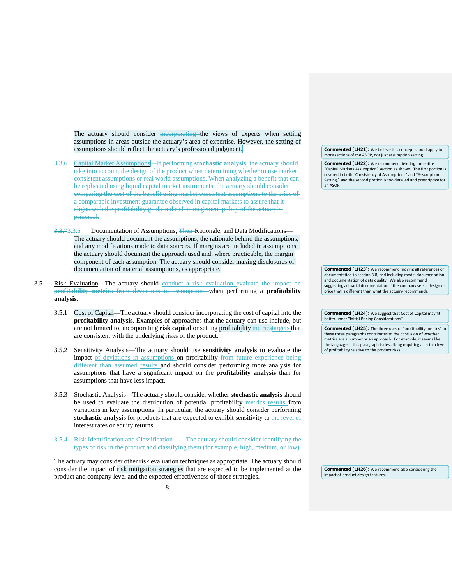The actuary should consider incorporating the views of experts when setting assumptions in areas outside the actuary's area of expertise. However, the setting of assumptions should reflect the actuary's professional judgment.

- 3.3.6 Capital Market Assumptions—If performing **stochastic analysis**, the actuary should take into account the design of the product when determining whether to use market consistent assumptions or real world assumptions. When analyzing a benefit that can be replicated using liquid capital market instruments, the actuary should consider comparing the cost of the benefit using market consistent assumptions to the price of a comparable investment guarantee observed in capital markets to assure that it aligns with the profitability goals and risk management policy of the actuary's principal.
- 3.3.73.3.5 Documentation of Assumptions, Their Rationale, and Data Modifications— The actuary should document the assumptions, the rationale behind the assumptions, and any modifications made to data sources. If margins are included in assumptions, the actuary should document the approach used and, where practicable, the margin component of each assumption. The actuary should consider making disclosures of documentation of material assumptions, as appropriate.
- 3.5 Risk Evaluation—The actuary should conduct a risk evaluation evaluate the impact on **profitability metrics** from deviations in assumptions when performing a **profitability analysis**.
	- 3.5.1 Cost of Capital—The actuary should consider incorporating the cost of capital into the **profitability analysis**. Examples of approaches that the actuary can use include, but are not limited to, incorporating **risk capital** or setting profitability metrics targets that are consistent with the underlying risks of the product.
	- 3.5.2 Sensitivity Analysis—The actuary should use **sensitivity analysis** to evaluate the impact of deviations in assumptions on profitability from future experience being different than assumed results and should consider performing more analysis for assumptions that have a significant impact on the **profitability analysis** than for assumptions that have less impact.
	- 3.5.3 Stochastic Analysis—The actuary should consider whether **stochastic analysis** should be used to evaluate the distribution of potential profitability metrics results from variations in key assumptions. In particular, the actuary should consider performing **stochastic analysis** for products that are expected to exhibit sensitivity to the level of interest rates or equity returns.
	- 3.5.4 Risk Identification and Classification —The actuary should consider identifying the types of risk in the product and classifying them (for example, high, medium, or low).

The actuary may consider other risk evaluation techniques as appropriate. The actuary should consider the impact of risk mitigation strategies that are expected to be implemented at the product and company level and the expected effectiveness of those strategies.

**Commented [LH21]:** We believe this concept should apply to more sections of the ASOP, not just assumption setting.

**Commented [LH22]:** We recommend deleting the entire "Capital Markets Assumption" section as shown. The first portion is covered in both "Consistency of Assumptions" and "Assumption Setting," and the second portion is too detailed and prescriptive for an ASOP.

**Commented [LH23]:** We recommend moving all references of documentation to section 3.8, and including model documentation and documentation of data quality. We also recommend suggesting actuarial documentation if the company sets a design or price that is different than what the actuary recommends.

**Commented [LH24]:** We suggest that Cost of Capital may fit better under "Initial Pricing Considerations"

**Commented [LH25]:** The three uses of "profitability metrics" in these three paragraphs contributes to the confusion of whether metrics are a number or an approach. For example, it seems like the language in this paragraph is describing requiring a certain level of profitability relative to the product risks.

**Commented [LH26]:** We recommend also considering the impact of product design features.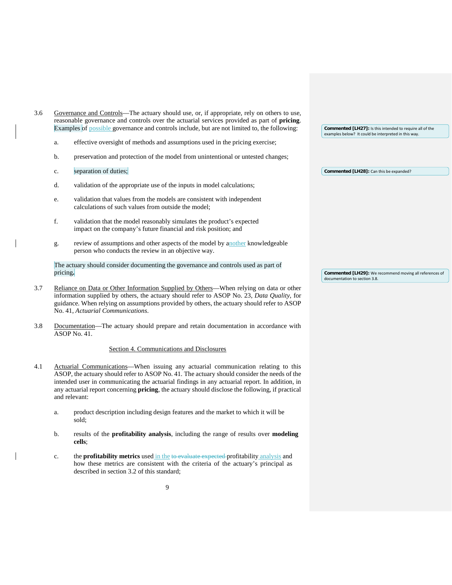| 3.6 | Governance and Controls—The actuary should use, or, if appropriate, rely on others to use,<br>reasonable governance and controls over the actuarial services provided as part of <b>pricing</b> .<br>Examples of possible governance and controls include, but are not limited to, the following: |                                                                                                                                                                                                                                                                                    |  | <b>Commented [LH27]:</b> Is this intended to require all of the                          |
|-----|---------------------------------------------------------------------------------------------------------------------------------------------------------------------------------------------------------------------------------------------------------------------------------------------------|------------------------------------------------------------------------------------------------------------------------------------------------------------------------------------------------------------------------------------------------------------------------------------|--|------------------------------------------------------------------------------------------|
|     | a.                                                                                                                                                                                                                                                                                                | effective oversight of methods and assumptions used in the pricing exercise;                                                                                                                                                                                                       |  | examples below? It could be interpreted in this way.                                     |
|     | b.                                                                                                                                                                                                                                                                                                | preservation and protection of the model from unintentional or untested changes;                                                                                                                                                                                                   |  |                                                                                          |
|     | $\mathbf{c}$ .                                                                                                                                                                                                                                                                                    | separation of duties;                                                                                                                                                                                                                                                              |  | Commented [LH28]: Can this be expanded?                                                  |
|     | d.                                                                                                                                                                                                                                                                                                | validation of the appropriate use of the inputs in model calculations;                                                                                                                                                                                                             |  |                                                                                          |
|     | e.                                                                                                                                                                                                                                                                                                | validation that values from the models are consistent with independent<br>calculations of such values from outside the model;                                                                                                                                                      |  |                                                                                          |
|     | f.                                                                                                                                                                                                                                                                                                | validation that the model reasonably simulates the product's expected<br>impact on the company's future financial and risk position; and                                                                                                                                           |  |                                                                                          |
|     | g.                                                                                                                                                                                                                                                                                                | review of assumptions and other aspects of the model by another knowledgeable<br>person who conducts the review in an objective way.                                                                                                                                               |  |                                                                                          |
|     |                                                                                                                                                                                                                                                                                                   | The actuary should consider documenting the governance and controls used as part of                                                                                                                                                                                                |  |                                                                                          |
|     | pricing.                                                                                                                                                                                                                                                                                          |                                                                                                                                                                                                                                                                                    |  | Commented [LH29]: We recommend moving all references of<br>documentation to section 3.8. |
| 3.7 |                                                                                                                                                                                                                                                                                                   | Reliance on Data or Other Information Supplied by Others—When relying on data or other<br>information supplied by others, the actuary should refer to ASOP No. 23, Data Quality, for<br>guidance. When relying on assumptions provided by others, the actuary should refer to ASOP |  |                                                                                          |

3.8 Documentation—The actuary should prepare and retain documentation in accordance with ASOP No. 41.

No. 41, *Actuarial Communications*.

# Section 4. Communications and Disclosures

- 4.1 Actuarial Communications—When issuing any actuarial communication relating to this ASOP, the actuary should refer to ASOP No. 41*.* The actuary should consider the needs of the intended user in communicating the actuarial findings in any actuarial report. In addition, in any actuarial report concerning **pricing**, the actuary should disclose the following, if practical and relevant:
	- a. product description including design features and the market to which it will be sold;
	- b. results of the **profitability analysis**, including the range of results over **modeling cells**;
	- c. the **profitability metrics** used in the to evaluate expected profitability analysis and how these metrics are consistent with the criteria of the actuary's principal as described in section 3.2 of this standard;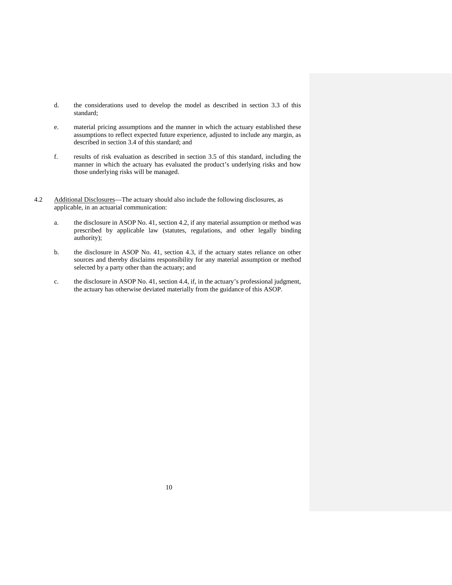- d. the considerations used to develop the model as described in section 3.3 of this standard;
- e. material pricing assumptions and the manner in which the actuary established these assumptions to reflect expected future experience, adjusted to include any margin, as described in section 3.4 of this standard; and
- f. results of risk evaluation as described in section 3.5 of this standard, including the manner in which the actuary has evaluated the product's underlying risks and how those underlying risks will be managed.
- 4.2 Additional Disclosures—The actuary should also include the following disclosures, as applicable, in an actuarial communication:
	- a. the disclosure in ASOP No. 41, section 4.2, if any material assumption or method was prescribed by applicable law (statutes, regulations, and other legally binding authority);
	- b. the disclosure in ASOP No. 41, section 4.3, if the actuary states reliance on other sources and thereby disclaims responsibility for any material assumption or method selected by a party other than the actuary; and
	- c. the disclosure in ASOP No. 41, section 4.4, if, in the actuary's professional judgment, the actuary has otherwise deviated materially from the guidance of this ASOP.